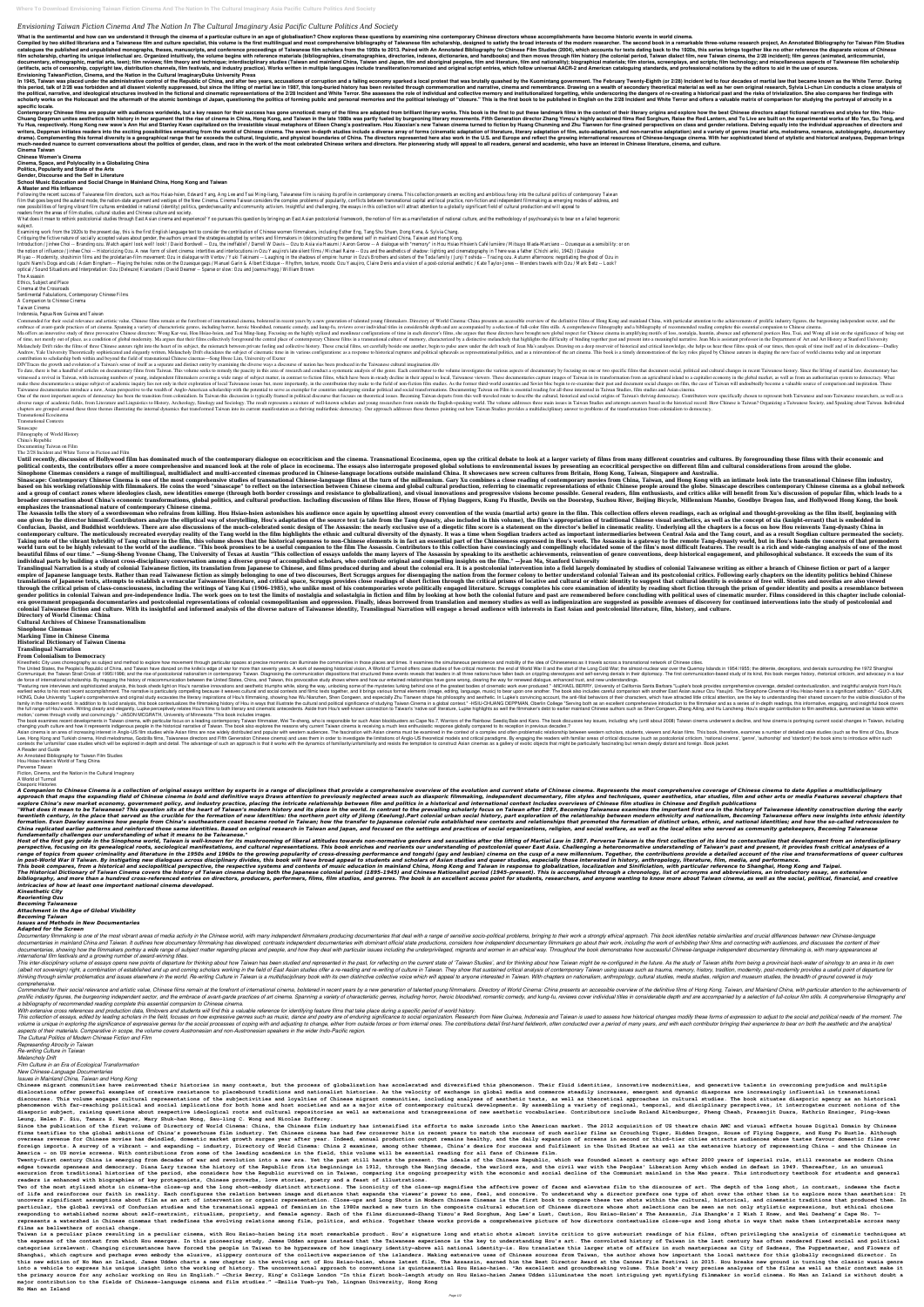*Envisioning Taiwan Fiction Cinema And The Nation In The Cultural Imaginary Asia Pacific Culture Politics And Society*

What is the sentimental and how can we understand it through the cinema of a particular culture in an age of globalisation? Chow explores these questions by examining nine contemporary Chinese directors whose accomplishmen

Compiled by two skilled librarians and a Taiwanese film and culture specialist, this volume is the first multilingual and most comprehensive bibliography of Taiwanese film scholarship, designed to satisfy the broad interes cataloques the published and unpublished monographs, theses, manuscripts, and conference proceedings of Taiwanese film scholars from the 1950s to 2013. Paired with An Annotated Bibliography for Chinese Film Scholars from t ilm scholarship, charting its unique intellectual arc. Organized intuitively, the volume begins with reference materials (bibliographies, directories, indexes, dictionaries, and handbooks) and then moves through film nisto documentary, ethnographic, martial arts, teen); film reviews; film theory and technique; interdisciplinary studies (Taiwan and mainland China, Taiwan and scripts; film technology; and miscellaneous aspects of Taiwanese fil (artifacts, acts of censorship, copyright law, distribution channels, film festivals, and industry practice). Works written in multiple languages include transliteration/romanized and original script entries, which follow **Envisioning TaiwanFiction, Cinema, and the Nation in the Cultural ImaginaryDuke University Press**

In 1945, Taiwan was placed under the administrative control of the Republic of China, and after two years, accusations of corruption and a failing economy sparked a local protest that was brutally quashed by the Kuomintang this period, talk of 2/28 was forbidden and all dissent violently suppressed, but since the lifting of martial law in 1987, this long-buried history has been revisited through commemoration and narrative, cinema and rememb the political, narrative, and ideological structures involved in the fictional and cinematic representations of the 2/28 Incident and White Terror. She assesses the role of individual and collective memory and institutiona scholarly works on the Holocaust and the aftermath of the atomic bombings of Japan, questioning the politics of forming public and personal memories and the political teleology of "closure." This is the first book to be pu **specific locale.**

Contemporary Chinese films are popular with audiences worldwide, but a key reason for their success has gone unnoticed: many of the films are adapted from brilliant literary origins and explore how the best Chinese directo Chuang Deppman unites aesthetics with history in her argument that the rise of cinema in China, Hong Kong, and Taiwan in the late 1980s was partly fueled by burgeoning literary movements. Fifth Generation director Zhang Yi Yu Hua, respectively. Hong Kong new wave's Ann Hui and Stanley Kwan capitalized on the irresistible visual metaphors of Eileen Chang's postrealism. Hou Xiaoxian's new Taiwan cinema turned to fiction by Huang Chunming and Z writers, Deppman initiates readers into the exciting possibilities emanating from the world of Chinese cinema. The seven in-depth studies include a diverse array of forms (cinemation) and a variety of genres (martial arts, complementing this formal diversity is a geographical range that far exceeds the cultural, linguistic, and physical boundaries of China. The directors represented here also work in the U.S. and Europe and reflect the growi much-needed nuance to current conversations about the politics of gender, class, and race in the work of the most celebrated Chinese writers and directors. Her pioneering study will appeal to all readers, general and acade

Following the recent success of Taiwanese film directors, such as Hou Hsiao-hsien, Edward Yang, Ang Lee and Tsai Ming-liang, Taiwanese film is raising its profile in contemporary cinema. This collection presents an excitin film that goes beyond the auterist mode, the nation-state argument and vestiges of the New Cinema. Cinema Taiwan considers the complex problems of popularity, conflicts between transnational capital and local practice, non new possibilities of forging vibrant film cultures embedded in national (identity) politics, gender/sexuality and community activism. Insightful and challenging, the essays in this collection will attract attention to a gl readers from the areas of film studies, cultural studies and Chinese culture and society.

What does it mean to rethink postcolonial studies through East Asian cinema and experience? Yoo pursues this question by bringing an East Asian postcolonial framework, the notion of film as a manifestation of national cult subject.

Introduction / Jinhee Choi -- Branding ozu. Watch again! look well! look! / David Bordwell -- Ozu, the ineffable? / Darrell W Davis -- Ozu to Asia via Hasumi / Aaron Gerow -- A dialoque with "memory" in Hou Hsiao Hhsien's the notion of influence / Jinhee Choi -- Historicizing Ozu. A new form of silent cinema: intertitles and interlocutions in Ozu Yasujiro's late silent films / Michael Raine -- Ozu and the aesthetics of shadow: lighting and Miyao -- Modernity, shoshimin films and the proletarian-film movement: Ozu in dialoque with Vertov / Yuki Takinami -- Laughing in the shadows of empire: humor in Ozu's Brothers and sisters of the Toda family / Junji Yoshid Iquchi Nami's Dogs and cats / Adam Bingham -- Playing the holes: notes on the Ozuesque gags / Manuel Garin & Albert Elduque -- Rhythm, texture, moods: Ozu Yasujiro, Claire Denis and a vision of a post-colonial aesthetic / optical / Sound Situations and Interpretation: Ozu (Deleuze) Kiarostami / David Deamer -- Sparse or slow: Ozu and Joanna Hogg / William Brown

**Cinema Taiwan Chinese Women's Cinema**

**Cinema, Space, and Polylocality in a Globalizing China**

Commended for their social relevance and artistic value, Chinese films remain at the forefront of international cinema, bolstered in recent years by a new generation of talented young filmmakers. Directory of World Cinema: embrace of avant-garde practices of art cinema. Spanning a variety of characteristic genres, including horror, heroic bloodshed, romantic comedy, and kung-fu, reviews cover individual titles in considerable depth and are a Ma offers an innovative study of three provocative Chinese directors: Wong Kar-wai, Hou Hsiao-hsien, and Tsai Ming-liang. Focusing on the highly stylized and monlinear configurations of time in each director's films, she a of time, not merely out of place, as a condition of global modernity. Ma argues that their films collectively foreground the central place of contemporary Chinese films in a transnational culture of memory, characterized b Melancholy Drift rides the films of three Chinese auteurs right into the heart of its subject, the mismatch between private feeling and collective history. These crucial films, set carefully beside one another, begin to pu Andrew, Yale University Theoretically sophisticated and elegantly written, Melancholy Drift elucidates the subject of cinematic time in its various configurations: as a response to historical ruptures and political upheava contribution to scholarship both within and beyond the field of transnational Chinese cinemas---Song Hwee Lim, University of Exeter

**Politics, Popularity and State of the Arts**

**Gender, Discourse and the Self in Literature**

**School Music Education and Social Change in Mainland China, Hong Kong and Taiwan**

## **A Master and His Influence**

Examining work from the 1920s to the present day, this is the first English language text to consider the contribution of Chinese women filmmakers, including Esther Eng, Tang Shu Shuen, Dong Kena, & Sylvia Chang.

Critiquing the fictive nature of socially accepted values about gender, the authors unravel the strategies adopted by writers and filmmakers in (de)constructing the gendered self in mainland China, Taiwan and Hong Kong.

Sinascape: Contemporary Chinese Cinema is one of the most comprehensive studies of transnational Chinese-language films at the turn of the millennium. Gary Xu combines a close reading of contemporary movies from China, Tai based on his working relationship with filmmakers. He coins the word "sinascape" to reflect on the intersection between Chinese cinema and global cultural production, referring to cinematic representations of ethnic Chines and a group of contact zones where ideologies clash, new identities emerge (through both border crossings and resistance to globalization), and visual innovations and progressive visions become possible. General readers, f broader conversation about China's economic transformations, global politics, and cultural production. Including discussion of films like Hero, House of Flying Daggers, Kung Fu Hustle, Devils on the Doorstep, Suzhou River, **emphasizes the transnational nature of contemporary Chinese cinema.**

The Assassin

Ethics, Subject and Place Cinema at the Crossroads

Sentimental Fabulations, Contemporary Chinese Films

A Companion to Chinese Cinema

Taiwan Cinema

Indonesia, Papua New Guinea and Taiwan

The Assassin tells the story of a swordswoman who refrains from killing. Hou Hsiao-hsien astonishes his audience once again by upsetting almost every convention of the wuxia (martial arts) genre in the film. This collectio one given by the director himself. Contributors analyze the elliptical way of storytelling, Hou's adaptation of the source text (a tale from the Tang dynasty, also included in this volume), the film's appropriation of trad Confucian, Daoist, and Buddhist worldviews. There are also discussions of the much-celebrated sonic design of The Assassin: the nearly exclusive use of a diegetic film score is a statement on the director's belief in cinem contemporary culture. The meticulously recreated everyday reality of the Tang world in the film highlights the ethnic and cultural diversity of the dynasty. It was a time when Sogdian traders between Central Asia and the T Taking note of the vibrant hybridity of Tang culture in the film, this volume shows that the historical openness to non-Chinese elements is in fact an essential part of the chineseness expressed in Hou's world, but in Hou' world turn out to be highly relevant to the world of the audience. "This book promises to be a useful companion to the film The Assassin. Contributors to this collection have convincingly elucidated some of the film The As beautiful films of our time." —Sung-Sheng Yvonne Chang, The University of Texas at Austin "This collection of essays unfolds the many layers of The Assassin by speaking to its aesthetic achievements, reinventions, deep his **individual parts by building a vibrant cross-disciplinary conversation among a diverse group of accomplished scholars, who contribute original and compelling insights on the film." —Jean Ma, Stanford University**

Translingual Narration is a study of colonial Taiwanese fiction, its translation from Japanese to Chinese, and films produced during and about the colonial intervention into a field largely dominated by studies of colonial empire of Japanese language texts. Rather than read Taiwanese fiction as simply belonging to one of two discourses, Bert Scruggs argues for disengaging the nation from the former colony to better understand colonial Taiwan translations of Japanese texts, attempts to establish a vernacular Taiwanese literature, and critical space, Scruggs provides close readings of short fiction through the critical prisms of locative and cultural identity is through the critical prism of class-consciousness, including the writings of Yang Kui (1906-1985), who unlike most of his contemporaries wrote politically engaged literature. Scruggs completes his contemporaries wrote poli gender politics in colonial Taiwan and pre-independence India. The work goes on to test the limits of nostalgia and solastalgia in fiction and film by looking at how both the colonial future and past are remembered before era government propaganda documentaries and postcolonial representations of colonial cosmopolitanism and oppression. Finally, ideas borrowed from translation and memory studies as well as indigenization are suggested as po colonial Taiwanese fiction and culture. With its insightful and informed analysis of the diverse nature of Taiwanese identity. Translingual Narration will engage a broad audience with interests in East Asian and postcoloni

DIVTraces the growth and evolution of a Taiwan's sense of itself as a separate and distinct entity by examining the diverse ways a discourse of nation has been produced in the Taiwanese cultural imagination./div

To date, there is but a handful of articles on documentary films from Taiwan. This volume seeks to remedy the paucity in this area of research and conduct a systematic analysis of the genre. Each contributor to the volume witnessed a revival in Taiwan, with increasing numbers of young, independent filmmakers covering a wide range of subject matter, in contrast to fiction films, which have been in steady decline in their appeal to local, Tai nake these documentaries a unique subject of academic inquiry lies not only in their exploration of local Taiwanese issues but, more importantly, in the contribution they make to the field of non-fiction film studies. As t Taiwanese documentaries introduce a new, Asian perspective to the wealth of Anglo-American scholarship with the potential to serve as exemplar for countries undergoing similar political and social transformations. Document

One of the most important aspects of democracy has been the transition from colonialism. In Taiwan this discussion is typically framed in political discourse that focuses on theoretical issues. Becoming Taiwan departs from diverse range of academic fields, from Literature and Linguistics to History, Archeology, Sinology and Sociology. The result represents a mixture of well-known scholars and young researchers from outside the English-speaki chapters are grouped around these three themes illustrating the internal dynamics that transformed Taiwan into its current manifestation as a thriving multiethnic democracy. Our approach addresses these themes pointing out

"Featuring rare interviews and sophisticated analysis, this book sheds light on Hou's narrative innovations and aesthetic triumphs while, along the way, unlocking some of the mysteries lurking behind one of the areatest bo earliest works to his most recent accomplishment. The narrative is particularly compelling because it weaves cultural and social contexts and filmic texts together, and it brings various formal elements (image, editing, la HONG, Duke University "Lupke's comprehensive and original study excavates the literary inspirations of Hou's filmmaking, showing how Wu Nianzhen, Shen Congwen, and especially Zhu Tianwen shape his philosophy and aesthetic. In addition to its lucid analysis, this book contextualizes the filmmaking history of Hou in ways that illustrate the cultural and political significance of studying Taiwan Cinema in a global context." -HSIU-CHUANG DEPPMAN Ins to both literary and elegantly, Lupke perceptively relates Hou's films to both literary and cinematic antecedents. Aside from Hou's well-known connection to Taiwan's "native soil" literature, Lupke highlights as well t motion,' comes through vividly and convincingly." -JASON MCGRATH, University of Minnesota \*This book includes images.

The book examines recent developments in Taiwan cinema, with particular focus on a leading contemporary Taiwan filmmaker. Wei Te-sheng, who is responsible for such Asian blockbusters as Cape No.7. Warriors of the Rainbow: changing youth culture and how it represents indigenous people in the historical narrative of Taiwan. The book also explores the reasons why current Taiwan cinema is receiving a much less enthusiastic response globally com

Asian cinema is an area of increasing interest in Anglo-US film studies while Asian films are now widely distributed and popular with western scholars, students, viewers and Asian films. This book, therefore, examines a nu Lee, Hong Kong and Turkish cinema, Hindi melodramas, Godzilla films, Taiwanese directors and Fifth Generation Chinese cinema) and uses them in order to investigate the limitations of Anglo-US theoretical models and critici contexts the 'unfamiliar' case studies which will be explored in depth and detail. The advantage of such an approach is that it works with the dynamics of familiarity/unfamiliarity and resists the temptation to construct A

"What does it mean to be Taiwanese? This question sits at the heart of Taiwan's modern history and its place in the world. In contrast to the prevailing scholarly focus on Taiwan after 1987, Becoming Taiwanese examines the twentieth century, in the place that served as the crucible for the formation of new identities: the northern port city of Jilong (Keelung).Part colonial urban social history, part exploration of the relationship between m formation. Evan Dawley examines how people from China's southeastern coast became rooted in Taiwan; how the transfer to Japanese colonial rule established new contexts and relationships that promoted the formation of disti China replicated earlier patterns and reinforced those same identities. Based on original research in Taiwan and Japan, and focused on the settings and practices of social organizations, religion, and social welfare, as we *fundamentally challenges our understanding of what it means to be Taiwanese."*

Host of the first gay pride in the Sinophone world, Taiwan is well-known for its mushrooming of liberal attitudes towards non-normative genders and sexualities after the lifting of Martial Law in 1987. Perverse Taiwan is t perspective, focusing on its genealogical roots, sociological manifestations, and cultural representations. This book enriches and reorients our understanding of postcolonial queer East Asia. Challenging a heteronormative range of topics from queer criminality and literature in the 1950s and 1960s to the growing popularity of cross-dressing performance and tongzhi (gay and lesbian) cinema on the cusp of a new millennium. Together, the contr in post-World War II Taiwan. By instigating new dialogues across disciplinary divides, this book will have broad appeal to students and scholars of Asian studies, especially those interested in history, anthropology, liter

Transnational Ecocinema

Transnational Contexts

Sinascape Filmography of World History

China's Republic

Documenting Taiwan on Film

The 2/28 Incident and White Terror in Fiction and Film

Until recently, discussion of Hollywood film has dominated much of the contemporary dialogue on ecocriticism and the cinema. Transnational Ecocinema, open up the critical debate to look at a larger variety of films from ma political contexts, the contributors offer a more comprehensive and nuanced look at the role of place in ecocinema. The essays also interrogate proposed global solutions to environmental issues by presenting an ecocritical Sinophone Cinemas considers a range of multilingual, multidialect and multi-accented cinemas produced in Chinese-language locations outside mainland China. It showcases new screen cultures from Britain, Hong Kong, Taiwan,

This book compares, from a historical and sociopolitical perspective, the respective systems and contents of music education in mainland China, Hong Kong and Sinificiation, localization and Sinificiation, with particular r The Historical Dictionary of Taiwan Cinema covers the history of Taiwan cinema during both the Japanese colonial period (1895-1945) and Chinese Nationalist period (1945-present). This is accomplished through a chronology, bibliography, and more than a hundred cross-referenced entries on directors, producers, performers, films, film studios, and anyone wanting to know more about Taiwan cinema, as well as the social, political, financial, and *intricacies of how at least one important national cinema developed.*

Documentary filmmaking is one of the most vibrant areas of media activity in the Chinese world, with many independent filmmakers producing documentaries that deal with a range of sensitive socio-political problems, bringin documentaries in mainland China and Taiwan. It outlines how documentary filmmaking has developed, contrasts independent documentaries with dominant official state productions, considers how independent documentaries with d documentaries, showing how the filmmakers portray a wide range of subject matter regarding places and people, and how they deal with particular issues including the underprivileged, migrants and women in an ethical way. Th *international film festivals and a growing number of award-winning titles.*

This inter-disciplinary volume of essays opens new points of departure for thinking about how Taiwan has been studied and represented in the past, for reflecting on the current state of 'Taiwan might be re-configured in th (albeit not sovereign) right, a combination of established and up and coming scholars working in the field of East Asian studies offer a re-reading and re-writing of culture in Taiwan using issues such as trauma, memory, h thinking through similar problematics and issues elsewhere in the world. Re-writing Culture in Taiwan is a multidisciplinary book with its own distinctive collective voice which will appeal to anyone interested in Taiwan. *comprehensive.*

Commended for their social relevance and artistic value, Chinese films remain at the forefront of international cinema, bolstered in recent years by a new generation of the definitive films of Hong Kong, Taiwan, and Mainla prolific industry figures, the burgeoning independent sector, and the embrace of avant-garde practices of art cinema. Spanning a variety of characteristic genres, including horror, heroic bloodshed, romantic comedy, and ku *a bibliography of recommended reading complete this essential companion to Chinese cinema.*

This collection of essays, edited by leading scholars in the field, focuses on how expressive genres such as music, dance and poetry are of enduring significance to social organization. Research from New Guinea, Indonesia volume is unique in exploring the significance of expressive genres for the social processes of coping with and adjusting to change, either from outside forces or from internal ones. The contributions detail first-hand fie *aspects of their materials. Comparative in scope, the volume covers Austronesian and non-Austronesian speakers in the wider Indo-Pacific region.*

Chinese migrant communities have reinvented their histories in many contexts, but the process of globalization has accelerated and diversified this phenomenon. Their fluid identities, innovative modernities, and generative dislocations offer powerful examples of creative resistance to placebound traditions and nationalist histories. As the velocity of exchange in global media and commerce steadily increases, emergent and dynamic diasporas ar discourses. This volume engages cultural representations of the subjectivities and loyalties and loyalties of Chinese migrant communities, including analyses of aesthetic texts, as well as theoretical approaches in cultura phenomenon with far-reaching political and social implications for both home and host societies and as a major site of contemporary cultural developments. By assembling a variety of regional, temporal, and disciplinary per diasporic subject, raising questions about respective ideological roots and cultural repositories as well as extensions and transgressions of new aesthetic vocabularies. Contributors include Roland Altenburger, Pheng Cheah **Leung, Helen F. Siu, Tamara S. Wagner, Mary Shuk-han Wong, Sau-ling C. Wong and Nicolas Zufferey.**

Since the publication of the first volume of Directory of World Cinema: China, the Chinese film industry has intensified its efforts to make inroads into the American market. The 2012 acquisition of US theatre chain AMC an firms testifies to the global ambitions of China's powerhouse film industry. Yet Chinese cinema has had few crossover hits in recent years to match the success of such earlier films as Crouching Tiger, Hidden Dragon, House overseas revenue for Chinese movies has dwindled, domestic market growth surges year after year. Indeed, annual production output remains healthy, and the daily expansion of screens in second or third-tier cities attracts foreign imports. A survey of a vibrant - and expanding - industry, Directory of World Cinema: China 2 examines, among other themes, China's desire for success and fulfilment in the United States as well as the extensive hi **America – on US movie screens. With contributions from some of the leading academics in the field, this volume will be essential reading for all fans of Chinese film.**

Twenty-first century China is emerging from decades of war and revolution into a new era. Yet the past still haunts the present. The ideals of the Chinese Republic, which was founded almost a century ago after 2000 years o edges towards openness and democracy. Diana Lary traces the history of the Republic from its beginnings in 1912, through the Nanjing decade, the warlord era, and the civil war with the Peoples' Liberation Army which ended excursion from traditional histories of the period, she considers how the Republic survived on in Taiwan, comparing its ongoing prosperity with the economic and social decline of the Communist mainland in the Mao years. Th **readers is enhanced with biographies of key protagonists, Chinese proverbs, love stories, poetry and a feast of illustrations.**

Two of the most stylized shots in cinema-the close-up and the long shot-embody distinct attractions. The iconicity of the close-up magnifies the affective power of faces and elevates film to the discourse of art. The depth of life and reinforces our faith in reality. Each configures the relation between image and distance that expands the viewer's power to see, feel, and conceive. To understand why a director prefers one type of shot over th uncovers significant assumptions about film as an art of intervention or organic representation. Close-ups and Long Shots in Modern Chinese Cinemas is the first book to compare these two shots within the cultural, historic particular, the global revival of Confucian studies and the transnational appeal of feminism in the 1980s marked a new turn in the composite cultural education of Chinese directors whose shot selections can be seen as not responding to established norms about self-restraint, ritualism, propriety, and female agency. Each of the films discussed-Zhang Yimou's Red Sorghum, Ang Lee's Lust, Caution, Hou Hsiao-Hsien's The Assassin, Jia Zhangke's I represents a watershed in Chinese cinemas that redefines the evolving relations among film, politics, and ethics. Together these works provide a comprehensive picture of how directors contextualize close-ups and long shots **films as bellwethers of social change.**

**Directory of World Cinema: China**

Taiwan is a peculiar place resulting in a peculiar cinema, with Hou Hsiao-hsien being its most remarkable product. Hou's signature long and static shots almost invite critics to give auteurist readings of his films, often the expense of the context from which Hou emerges. In this pioneering study, James Udden argues instead that the Taiwanese experience is the key to understanding Hou's art. The convoluted history of Taiwan in the last cent categories irrelevant. Changing circumstances have forced the people in Taiwan to be hyperaware of how imaginary identity-above all national identity-is. Hou translates this larger state of affairs in such masterpieces as Shanghai, which capture and perhaps even embody the elusive, slippery contours of the collective experience of the islanders. Making extensive uses of Chinese sources from Taiwan, the author shows how important the local m this new edition of No Man an Island, James Udden charts a new chapter in the evolving art of Hou Hsiao-hsien, whose latest film, The Assassin, earned him the Best Director Award at the Cannes Film Festival in 2015. Hou br into a vehicle to express his unique insight into the working of history. The unconventional approach to conventional approach to conventions is quintessential Hou Hsiao-hsien. "An excellent and groundbreaking volume. This the primary source for any scholar working on Hou in English." -Chris Berry, King's College London "In this first book-length study on Hou Hsiao-hsien James Udden illuminates the most intriguing yet mystifying filmmaker in **major contribution to the fields of Chinese-language cinema and film studies." —Emilie Yueh-yu Yeh, Lingnan University, Hong Kong No Man an Island**

**Cultural Archives of Chinese Transnationalism**

**Sinophone Cinemas**

**Marking Time in Chinese Cinema**

**Historical Dictionary of Taiwan Cinema**

**Translingual Narration**

**From Colonialism to Democracy**

Kinesthetic City uses choreography as subject and method to explore how movement through particular spaces at precise moments can illuminate the communities in those places and times. It examines the simultaneous persisten

The United States, the Peoplells Republic of China, and Taiwan have danced on the knifells edge of war for more than seventy years. A work of sweeping historical war to the Long Cold War; the almost-nuclear war over the Qu Communiqué; the Taiwan Strait Crisis of 199501996; and the rise of postcolonial nationalism in contemporary Taiwan. Diagnosing the communication dispositions have fallen back on crippling stereotypes and self-serving denia de force of international scholarship. By mapping the history of miscommunication between the United States, China, and Taiwan, this provocative study shows where and how our entwined relationships have gone wrong, clearin

A Reader and Guide An Annotated Bibliography for Taiwan Film Studies Hou Hsiao-hsien<sup>[]</sup>s World of Tang China Perverse Taiwan Fiction, Cinema, and the Nation in the Cultural Imaginary A World of Turmoil Diasporic Histories

A Companion to Chinese Cinema is a collection of original essays written by experts in a range of disciplines that provide a comprehensive overview of the evolution and current state of Chinese cinema. Represents the most approach that maps the expanding field of Chinese cinema in bold and definitive ways Draws attention to previously neglected areas such as diasporic filmmaking, independent documentary, film styles and techniques, queer ae explore China's new market economy, government policy, and industry practice, placing the intricate relationship between film and politics in a historical and international context Includes overviews of Chinese film studie

*Kinesthetic City*

*Reorienting Ozu*

*Becoming Taiwanese*

*Attachment in the Age of Global Visibility*

*Becoming Taiwan*

*Issues and Methods in New Documentaries*

*Adapted for the Screen*

*With extensive cross references and production data, filmlovers and students will find this a valuable reference for identifying feature films that take place during a specific period of world history.*

*The Cultural Politics of Modern Chinese Fiction and Film*

*Representing Atrocity in Taiwan*

*Re-writing Culture in Taiwan Melancholy Drift Film Culture in an Era of Ecological Transformation New Chinese-Language Documentaries Issues in Mainland China, Taiwan and Hong Kong*